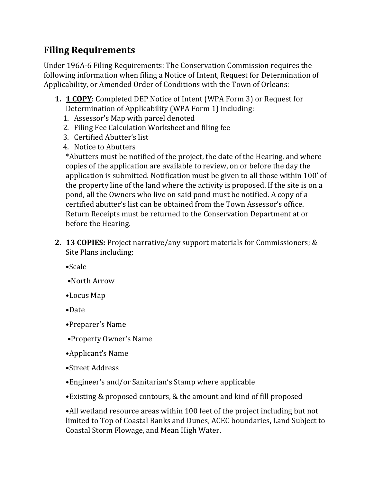## **Filing Requirements**

Under 196A-6 Filing Requirements: The Conservation Commission requires the following information when filing a Notice of Intent, Request for Determination of Applicability, or Amended Order of Conditions with the Town of Orleans:

- **1. 1 COPY**: Completed DEP Notice of Intent (WPA Form 3) or Request for Determination of Applicability (WPA Form 1) including:
	- 1. Assessor's Map with parcel denoted
	- 2. Filing Fee Calculation Worksheet and filing fee
	- 3. Certified Abutter's list
	- 4. Notice to Abutters

\*Abutters must be notified of the project, the date of the Hearing, and where copies of the application are available to review, on or before the day the application is submitted. Notification must be given to all those within 100' of the property line of the land where the activity is proposed. If the site is on a pond, all the Owners who live on said pond must be notified. A copy of a certified abutter's list can be obtained from the Town Assessor's office. Return Receipts must be returned to the Conservation Department at or before the Hearing.

- **2. 13 COPIES:** Project narrative/any support materials for Commissioners; & Site Plans including:
	- •Scale
	- •North Arrow
	- •Locus Map
	- •Date
	- •Preparer's Name
	- •Property Owner's Name
	- •Applicant's Name
	- •Street Address
	- •Engineer's and/or Sanitarian's Stamp where applicable
	- •Existing & proposed contours, & the amount and kind of fill proposed

•All wetland resource areas within 100 feet of the project including but not limited to Top of Coastal Banks and Dunes, ACEC boundaries, Land Subject to Coastal Storm Flowage, and Mean High Water.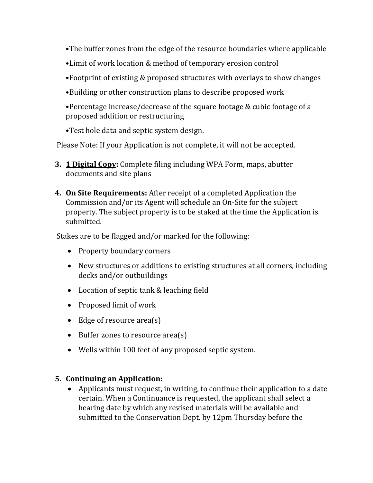- •The buffer zones from the edge of the resource boundaries where applicable
- •Limit of work location & method of temporary erosion control
- •Footprint of existing & proposed structures with overlays to show changes
- •Building or other construction plans to describe proposed work
- •Percentage increase/decrease of the square footage & cubic footage of a proposed addition or restructuring
- •Test hole data and septic system design.

Please Note: If your Application is not complete, it will not be accepted.

- **3. 1 Digital Copy:** Complete filing including WPA Form, maps, abutter documents and site plans
- **4. On Site Requirements:** After receipt of a completed Application the Commission and/or its Agent will schedule an On-Site for the subject property. The subject property is to be staked at the time the Application is submitted.

Stakes are to be flagged and/or marked for the following:

- Property boundary corners
- New structures or additions to existing structures at all corners, including decks and/or outbuildings
- Location of septic tank & leaching field
- Proposed limit of work
- Edge of resource area(s)
- Buffer zones to resource area(s)
- Wells within 100 feet of any proposed septic system.

## **5. Continuing an Application:**

• Applicants must request, in writing, to continue their application to a date certain. When a Continuance is requested, the applicant shall select a hearing date by which any revised materials will be available and submitted to the Conservation Dept. by 12pm Thursday before the